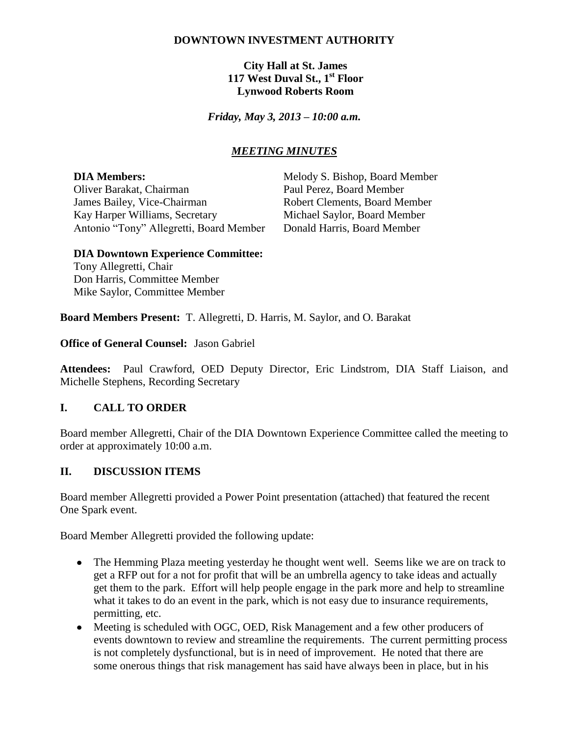## **DOWNTOWN INVESTMENT AUTHORITY**

**City Hall at St. James 117 West Duval St., 1st Floor Lynwood Roberts Room**

*Friday, May 3, 2013 – 10:00 a.m.*

## *MEETING MINUTES*

Oliver Barakat, Chairman Paul Perez, Board Member James Bailey, Vice-Chairman Robert Clements, Board Member Kay Harper Williams, Secretary Michael Saylor, Board Member Antonio "Tony" Allegretti, Board Member Donald Harris, Board Member

**DIA Members:** Melody S. Bishop, Board Member

#### **DIA Downtown Experience Committee:**

Tony Allegretti, Chair Don Harris, Committee Member Mike Saylor, Committee Member

**Board Members Present:** T. Allegretti, D. Harris, M. Saylor, and O. Barakat

**Office of General Counsel:** Jason Gabriel

**Attendees:** Paul Crawford, OED Deputy Director, Eric Lindstrom, DIA Staff Liaison, and Michelle Stephens, Recording Secretary

### **I. CALL TO ORDER**

Board member Allegretti, Chair of the DIA Downtown Experience Committee called the meeting to order at approximately 10:00 a.m.

### **II. DISCUSSION ITEMS**

Board member Allegretti provided a Power Point presentation (attached) that featured the recent One Spark event.

Board Member Allegretti provided the following update:

- The Hemming Plaza meeting yesterday he thought went well. Seems like we are on track to get a RFP out for a not for profit that will be an umbrella agency to take ideas and actually get them to the park. Effort will help people engage in the park more and help to streamline what it takes to do an event in the park, which is not easy due to insurance requirements, permitting, etc.
- Meeting is scheduled with OGC, OED, Risk Management and a few other producers of events downtown to review and streamline the requirements. The current permitting process is not completely dysfunctional, but is in need of improvement. He noted that there are some onerous things that risk management has said have always been in place, but in his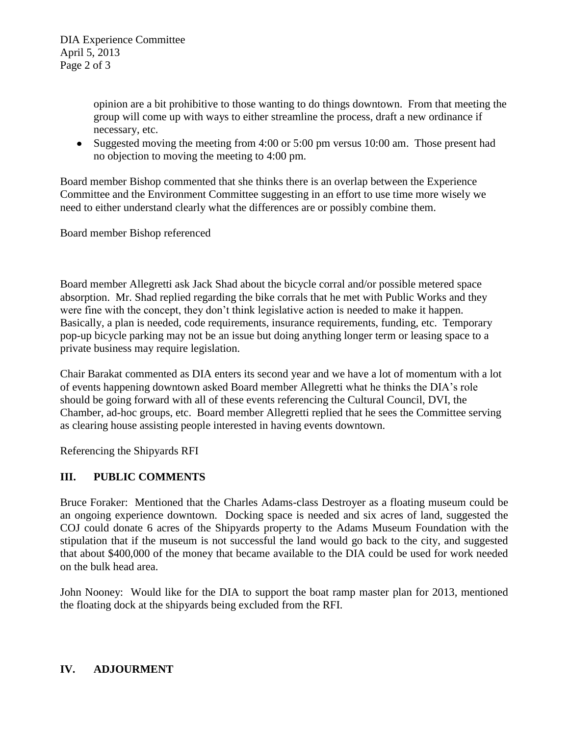opinion are a bit prohibitive to those wanting to do things downtown. From that meeting the group will come up with ways to either streamline the process, draft a new ordinance if necessary, etc.

• Suggested moving the meeting from 4:00 or 5:00 pm versus 10:00 am. Those present had no objection to moving the meeting to 4:00 pm.

Board member Bishop commented that she thinks there is an overlap between the Experience Committee and the Environment Committee suggesting in an effort to use time more wisely we need to either understand clearly what the differences are or possibly combine them.

Board member Bishop referenced

Board member Allegretti ask Jack Shad about the bicycle corral and/or possible metered space absorption. Mr. Shad replied regarding the bike corrals that he met with Public Works and they were fine with the concept, they don't think legislative action is needed to make it happen. Basically, a plan is needed, code requirements, insurance requirements, funding, etc. Temporary pop-up bicycle parking may not be an issue but doing anything longer term or leasing space to a private business may require legislation.

Chair Barakat commented as DIA enters its second year and we have a lot of momentum with a lot of events happening downtown asked Board member Allegretti what he thinks the DIA's role should be going forward with all of these events referencing the Cultural Council, DVI, the Chamber, ad-hoc groups, etc. Board member Allegretti replied that he sees the Committee serving as clearing house assisting people interested in having events downtown.

Referencing the Shipyards RFI

# **III. PUBLIC COMMENTS**

Bruce Foraker: Mentioned that the Charles Adams-class Destroyer as a floating museum could be an ongoing experience downtown. Docking space is needed and six acres of land, suggested the COJ could donate 6 acres of the Shipyards property to the Adams Museum Foundation with the stipulation that if the museum is not successful the land would go back to the city, and suggested that about \$400,000 of the money that became available to the DIA could be used for work needed on the bulk head area.

John Nooney: Would like for the DIA to support the boat ramp master plan for 2013, mentioned the floating dock at the shipyards being excluded from the RFI.

# **IV. ADJOURMENT**